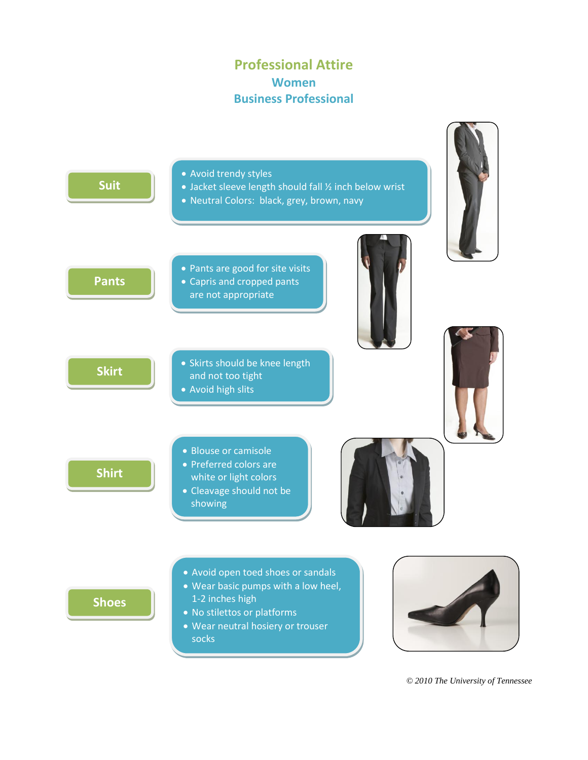# **Professional Attire Women Business Professional**



*© 2010 The University of Tennessee*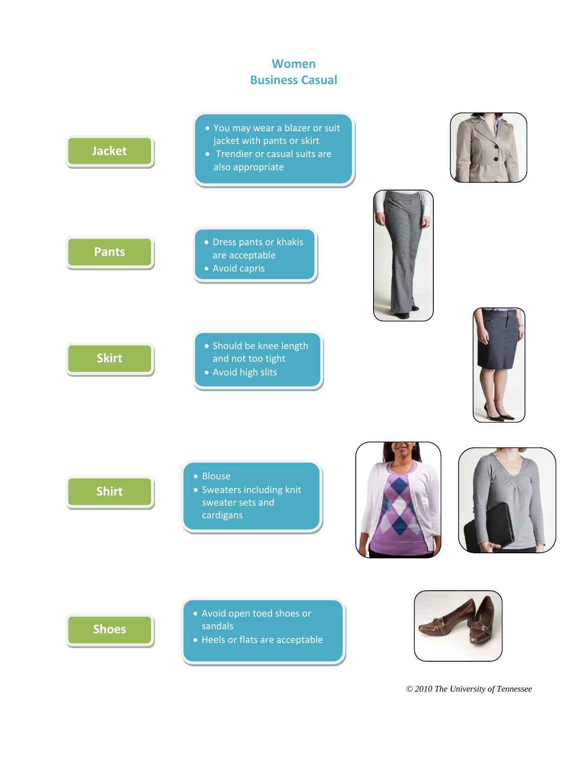## **Women Business Casual**



*© 2010 The University of Tennessee*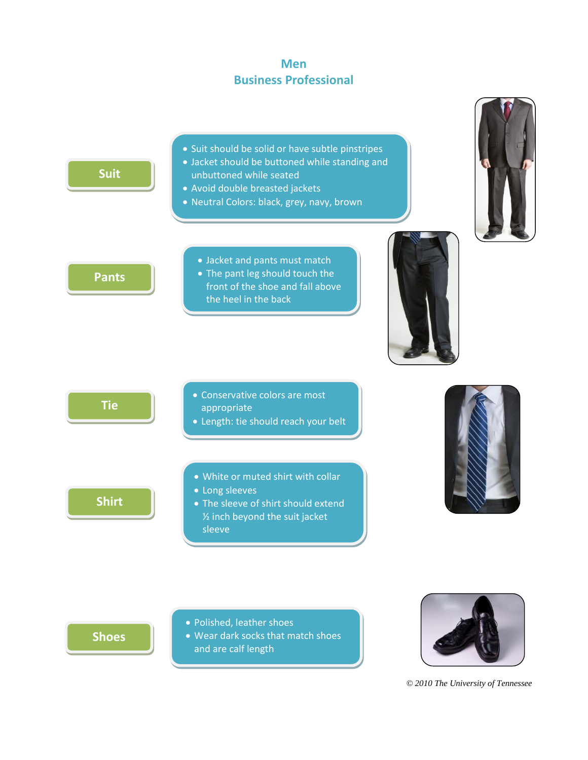## **Men Business Professional**



**Shoes**

- Polished, leather shoes
- Wear dark socks that match shoes and are calf length



*© 2010 The University of Tennessee*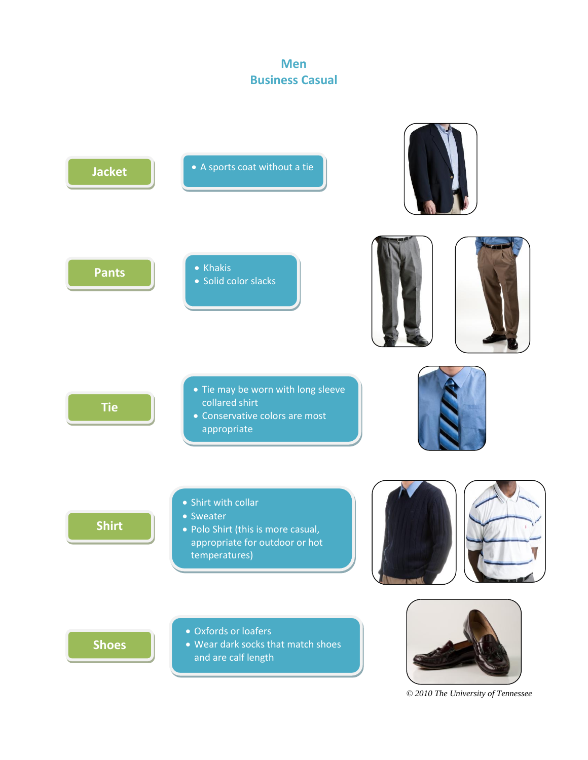## **Men Business Casual**



*© 2010 The University of Tennessee*